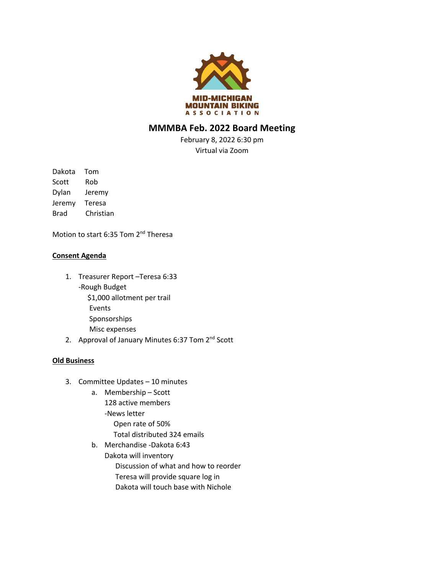

## **MMMBA Feb. 2022 Board Meeting**

February 8, 2022 6:30 pm Virtual via Zoom

Dakota Tom Scott Rob Dylan Jeremy Jeremy Teresa Brad Christian

Motion to start 6:35 Tom 2<sup>nd</sup> Theresa

## **Consent Agenda**

- 1. Treasurer Report –Teresa 6:33 -Rough Budget \$1,000 allotment per trail Events Sponsorships Misc expenses
- 2. Approval of January Minutes 6:37 Tom 2<sup>nd</sup> Scott

## **Old Business**

- 3. Committee Updates 10 minutes
	- a. Membership Scott 128 active members -News letter Open rate of 50% Total distributed 324 emails
	- b. Merchandise -Dakota 6:43 Dakota will inventory Discussion of what and how to reorder Teresa will provide square log in Dakota will touch base with Nichole